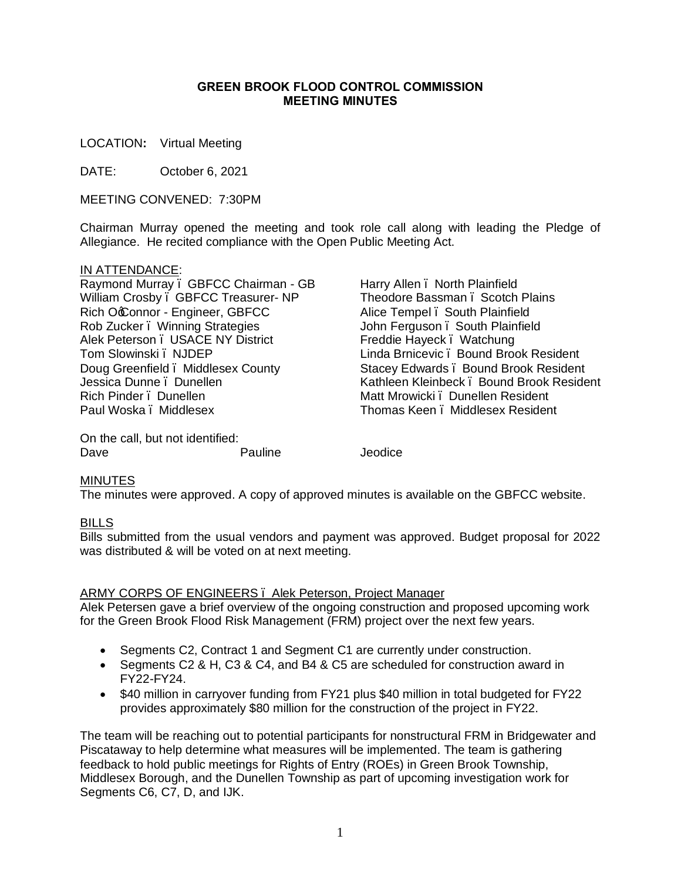## **GREEN BROOK FLOOD CONTROL COMMISSION MEETING MINUTES**

LOCATION**:** Virtual Meeting

DATE: October 6, 2021

MEETING CONVENED: 7:30PM

Chairman Murray opened the meeting and took role call along with leading the Pledge of Allegiance. He recited compliance with the Open Public Meeting Act.

## IN ATTENDANCE:

Raymond Murray – GBFCC Chairman - GB William Crosby – GBFCC Treasurer- NP Rich OcConnor - Engineer, GBFCC Rob Zucker – Winning Strategies Alek Peterson – USACE NY District Tom Slowinski – NJDEP Doug Greenfield – Middlesex County Jessica Dunne . Dunellen Rich Pinder – Dunellen Paul Woska – Middlesex

On the call, but not identified: Dave **Pauline** Jeodice

Alice Tempel – South Plainfield John Ferguson – South Plainfield Freddie Hayeck – Watchung Linda Brnicevic – Bound Brook Resident Stacey Edwards – Bound Brook Resident Kathleen Kleinbeck – Bound Brook Resident Matt Mrowicki – Dunellen Resident Thomas Keen – Middlesex Resident

Harry Allen – North Plainfield

Theodore Bassman – Scotch Plains

## **MINUTES**

The minutes were approved. A copy of approved minutes is available on the GBFCC website.

## BILLS

Bills submitted from the usual vendors and payment was approved. Budget proposal for 2022 was distributed & will be voted on at next meeting.

## ARMY CORPS OF ENGINEERS – Alek Peterson, Project Manager

Alek Petersen gave a brief overview of the ongoing construction and proposed upcoming work for the Green Brook Flood Risk Management (FRM) project over the next few years.

- · Segments C2, Contract 1 and Segment C1 are currently under construction.
- · Segments C2 & H, C3 & C4, and B4 & C5 are scheduled for construction award in FY22-FY24.
- · \$40 million in carryover funding from FY21 plus \$40 million in total budgeted for FY22 provides approximately \$80 million for the construction of the project in FY22.

The team will be reaching out to potential participants for nonstructural FRM in Bridgewater and Piscataway to help determine what measures will be implemented. The team is gathering feedback to hold public meetings for Rights of Entry (ROEs) in Green Brook Township, Middlesex Borough, and the Dunellen Township as part of upcoming investigation work for Segments C6, C7, D, and IJK.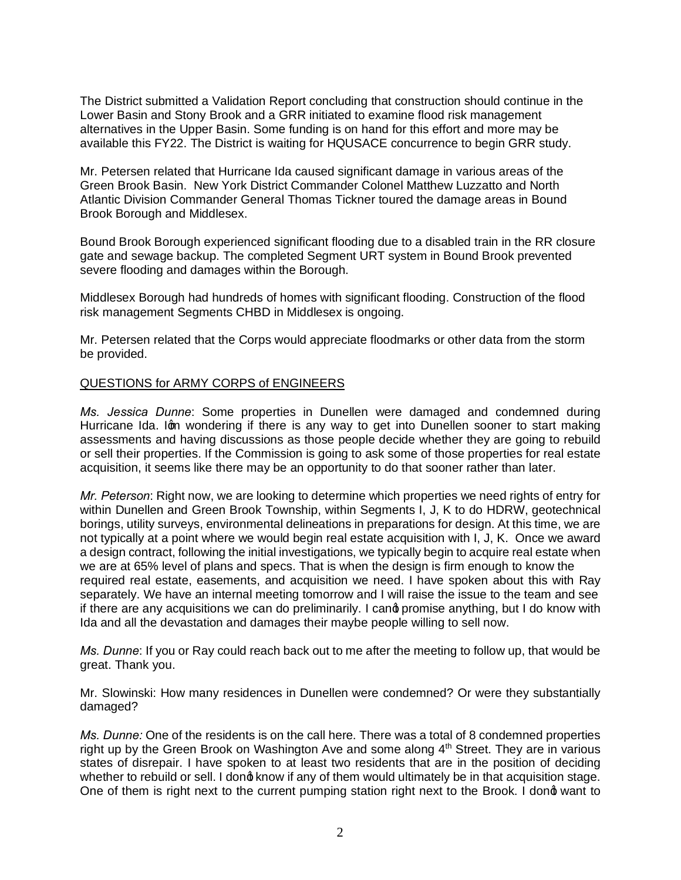The District submitted a Validation Report concluding that construction should continue in the Lower Basin and Stony Brook and a GRR initiated to examine flood risk management alternatives in the Upper Basin. Some funding is on hand for this effort and more may be available this FY22. The District is waiting for HQUSACE concurrence to begin GRR study.

Mr. Petersen related that Hurricane Ida caused significant damage in various areas of the Green Brook Basin. New York District Commander Colonel Matthew Luzzatto and North Atlantic Division Commander General Thomas Tickner toured the damage areas in Bound Brook Borough and Middlesex.

Bound Brook Borough experienced significant flooding due to a disabled train in the RR closure gate and sewage backup. The completed Segment URT system in Bound Brook prevented severe flooding and damages within the Borough.

Middlesex Borough had hundreds of homes with significant flooding. Construction of the flood risk management Segments CHBD in Middlesex is ongoing.

Mr. Petersen related that the Corps would appreciate floodmarks or other data from the storm be provided.

## QUESTIONS for ARMY CORPS of ENGINEERS

*Ms. Jessica Dunne*: Some properties in Dunellen were damaged and condemned during Hurricane Ida. Ign wondering if there is any way to get into Dunellen sooner to start making assessments and having discussions as those people decide whether they are going to rebuild or sell their properties. If the Commission is going to ask some of those properties for real estate acquisition, it seems like there may be an opportunity to do that sooner rather than later.

*Mr. Peterson*: Right now, we are looking to determine which properties we need rights of entry for within Dunellen and Green Brook Township, within Segments I, J, K to do HDRW, geotechnical borings, utility surveys, environmental delineations in preparations for design. At this time, we are not typically at a point where we would begin real estate acquisition with I, J, K. Once we award a design contract, following the initial investigations, we typically begin to acquire real estate when we are at 65% level of plans and specs. That is when the design is firm enough to know the required real estate, easements, and acquisition we need. I have spoken about this with Ray separately. We have an internal meeting tomorrow and I will raise the issue to the team and see if there are any acquisitions we can do preliminarily. I cand promise anything, but I do know with Ida and all the devastation and damages their maybe people willing to sell now.

*Ms. Dunne*: If you or Ray could reach back out to me after the meeting to follow up, that would be great. Thank you.

Mr. Slowinski: How many residences in Dunellen were condemned? Or were they substantially damaged?

*Ms. Dunne:* One of the residents is on the call here. There was a total of 8 condemned properties right up by the Green Brook on Washington Ave and some along  $4<sup>th</sup>$  Street. They are in various states of disrepair. I have spoken to at least two residents that are in the position of deciding whether to rebuild or sell. I dong know if any of them would ultimately be in that acquisition stage. One of them is right next to the current pumping station right next to the Brook. I dong want to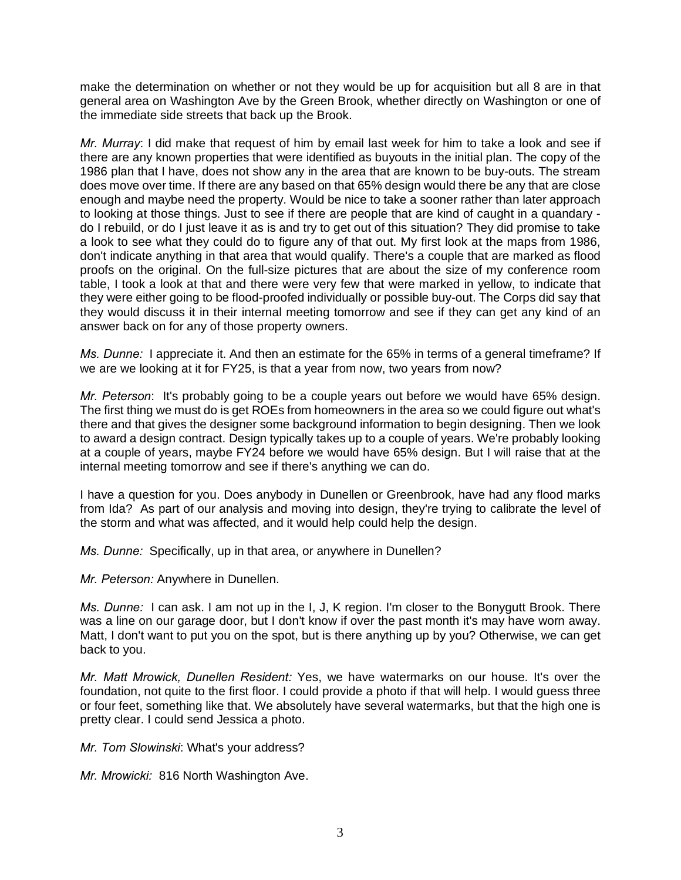make the determination on whether or not they would be up for acquisition but all 8 are in that general area on Washington Ave by the Green Brook, whether directly on Washington or one of the immediate side streets that back up the Brook.

*Mr. Murray*: I did make that request of him by email last week for him to take a look and see if there are any known properties that were identified as buyouts in the initial plan. The copy of the 1986 plan that I have, does not show any in the area that are known to be buy-outs. The stream does move over time. If there are any based on that 65% design would there be any that are close enough and maybe need the property. Would be nice to take a sooner rather than later approach to looking at those things. Just to see if there are people that are kind of caught in a quandary do I rebuild, or do I just leave it as is and try to get out of this situation? They did promise to take a look to see what they could do to figure any of that out. My first look at the maps from 1986, don't indicate anything in that area that would qualify. There's a couple that are marked as flood proofs on the original. On the full-size pictures that are about the size of my conference room table, I took a look at that and there were very few that were marked in yellow, to indicate that they were either going to be flood-proofed individually or possible buy-out. The Corps did say that they would discuss it in their internal meeting tomorrow and see if they can get any kind of an answer back on for any of those property owners.

*Ms. Dunne:* I appreciate it. And then an estimate for the 65% in terms of a general timeframe? If we are we looking at it for FY25, is that a year from now, two years from now?

*Mr. Peterson*: It's probably going to be a couple years out before we would have 65% design. The first thing we must do is get ROEs from homeowners in the area so we could figure out what's there and that gives the designer some background information to begin designing. Then we look to award a design contract. Design typically takes up to a couple of years. We're probably looking at a couple of years, maybe FY24 before we would have 65% design. But I will raise that at the internal meeting tomorrow and see if there's anything we can do.

I have a question for you. Does anybody in Dunellen or Greenbrook, have had any flood marks from Ida? As part of our analysis and moving into design, they're trying to calibrate the level of the storm and what was affected, and it would help could help the design.

*Ms. Dunne:* Specifically, up in that area, or anywhere in Dunellen?

*Mr. Peterson:* Anywhere in Dunellen.

*Ms. Dunne:* I can ask. I am not up in the I, J, K region. I'm closer to the Bonygutt Brook. There was a line on our garage door, but I don't know if over the past month it's may have worn away. Matt, I don't want to put you on the spot, but is there anything up by you? Otherwise, we can get back to you.

*Mr. Matt Mrowick, Dunellen Resident:* Yes, we have watermarks on our house. It's over the foundation, not quite to the first floor. I could provide a photo if that will help. I would guess three or four feet, something like that. We absolutely have several watermarks, but that the high one is pretty clear. I could send Jessica a photo.

*Mr. Tom Slowinski*: What's your address?

*Mr. Mrowicki:* 816 North Washington Ave.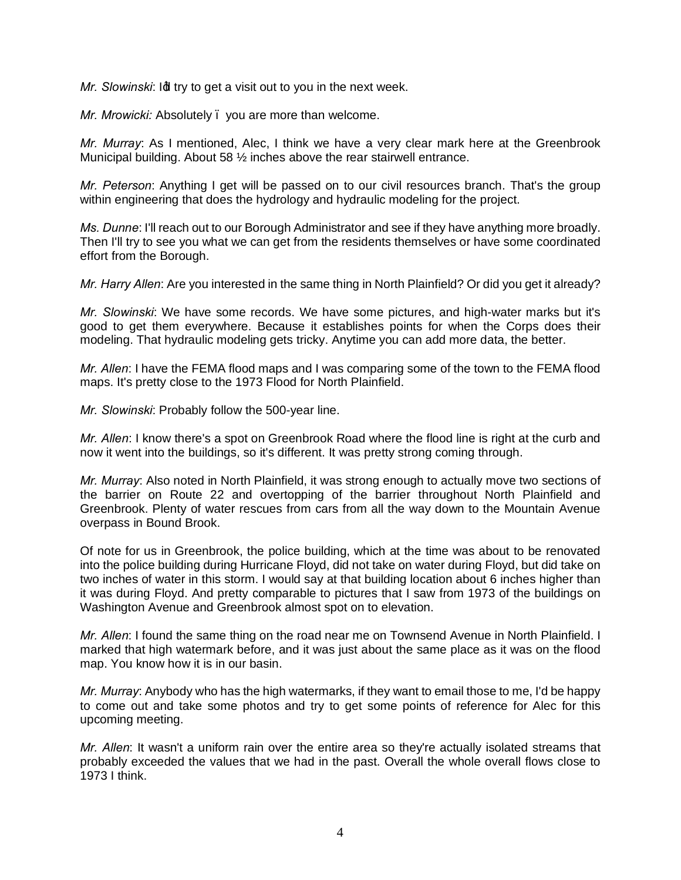*Mr. Slowinski: Id try to get a visit out to you in the next week.* 

*Mr. Mrowicki:* Absolutely – you are more than welcome.

*Mr. Murray*: As I mentioned, Alec, I think we have a very clear mark here at the Greenbrook Municipal building. About 58 ½ inches above the rear stairwell entrance.

*Mr. Peterson*: Anything I get will be passed on to our civil resources branch. That's the group within engineering that does the hydrology and hydraulic modeling for the project.

*Ms. Dunne*: I'll reach out to our Borough Administrator and see if they have anything more broadly. Then I'll try to see you what we can get from the residents themselves or have some coordinated effort from the Borough.

*Mr. Harry Allen*: Are you interested in the same thing in North Plainfield? Or did you get it already?

*Mr. Slowinski*: We have some records. We have some pictures, and high-water marks but it's good to get them everywhere. Because it establishes points for when the Corps does their modeling. That hydraulic modeling gets tricky. Anytime you can add more data, the better.

*Mr. Allen*: I have the FEMA flood maps and I was comparing some of the town to the FEMA flood maps. It's pretty close to the 1973 Flood for North Plainfield.

*Mr. Slowinski*: Probably follow the 500-year line.

*Mr. Allen*: I know there's a spot on Greenbrook Road where the flood line is right at the curb and now it went into the buildings, so it's different. It was pretty strong coming through.

*Mr. Murray*: Also noted in North Plainfield, it was strong enough to actually move two sections of the barrier on Route 22 and overtopping of the barrier throughout North Plainfield and Greenbrook. Plenty of water rescues from cars from all the way down to the Mountain Avenue overpass in Bound Brook.

Of note for us in Greenbrook, the police building, which at the time was about to be renovated into the police building during Hurricane Floyd, did not take on water during Floyd, but did take on two inches of water in this storm. I would say at that building location about 6 inches higher than it was during Floyd. And pretty comparable to pictures that I saw from 1973 of the buildings on Washington Avenue and Greenbrook almost spot on to elevation.

*Mr. Allen*: I found the same thing on the road near me on Townsend Avenue in North Plainfield. I marked that high watermark before, and it was just about the same place as it was on the flood map. You know how it is in our basin.

*Mr. Murray*: Anybody who has the high watermarks, if they want to email those to me, I'd be happy to come out and take some photos and try to get some points of reference for Alec for this upcoming meeting.

*Mr. Allen*: It wasn't a uniform rain over the entire area so they're actually isolated streams that probably exceeded the values that we had in the past. Overall the whole overall flows close to 1973 I think.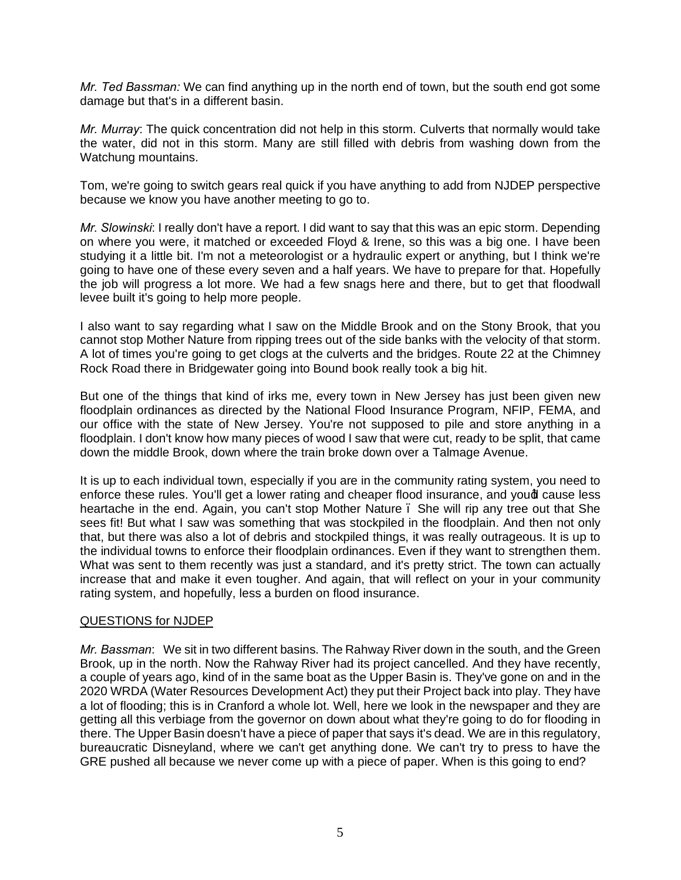*Mr. Ted Bassman:* We can find anything up in the north end of town, but the south end got some damage but that's in a different basin.

*Mr. Murray*: The quick concentration did not help in this storm. Culverts that normally would take the water, did not in this storm. Many are still filled with debris from washing down from the Watchung mountains.

Tom, we're going to switch gears real quick if you have anything to add from NJDEP perspective because we know you have another meeting to go to.

*Mr. Slowinski*: I really don't have a report. I did want to say that this was an epic storm. Depending on where you were, it matched or exceeded Floyd & Irene, so this was a big one. I have been studying it a little bit. I'm not a meteorologist or a hydraulic expert or anything, but I think we're going to have one of these every seven and a half years. We have to prepare for that. Hopefully the job will progress a lot more. We had a few snags here and there, but to get that floodwall levee built it's going to help more people.

I also want to say regarding what I saw on the Middle Brook and on the Stony Brook, that you cannot stop Mother Nature from ripping trees out of the side banks with the velocity of that storm. A lot of times you're going to get clogs at the culverts and the bridges. Route 22 at the Chimney Rock Road there in Bridgewater going into Bound book really took a big hit.

But one of the things that kind of irks me, every town in New Jersey has just been given new floodplain ordinances as directed by the National Flood Insurance Program, NFIP, FEMA, and our office with the state of New Jersey. You're not supposed to pile and store anything in a floodplain. I don't know how many pieces of wood I saw that were cut, ready to be split, that came down the middle Brook, down where the train broke down over a Talmage Avenue.

It is up to each individual town, especially if you are in the community rating system, you need to enforce these rules. You'll get a lower rating and cheaper flood insurance, and youd cause less heartache in the end. Again, you can't stop Mother Nature . She will rip any tree out that She sees fit! But what I saw was something that was stockpiled in the floodplain. And then not only that, but there was also a lot of debris and stockpiled things, it was really outrageous. It is up to the individual towns to enforce their floodplain ordinances. Even if they want to strengthen them. What was sent to them recently was just a standard, and it's pretty strict. The town can actually increase that and make it even tougher. And again, that will reflect on your in your community rating system, and hopefully, less a burden on flood insurance.

# QUESTIONS for NJDEP

*Mr. Bassman*: We sit in two different basins. The Rahway River down in the south, and the Green Brook, up in the north. Now the Rahway River had its project cancelled. And they have recently, a couple of years ago, kind of in the same boat as the Upper Basin is. They've gone on and in the 2020 WRDA (Water Resources Development Act) they put their Project back into play. They have a lot of flooding; this is in Cranford a whole lot. Well, here we look in the newspaper and they are getting all this verbiage from the governor on down about what they're going to do for flooding in there. The Upper Basin doesn't have a piece of paper that says it's dead. We are in this regulatory, bureaucratic Disneyland, where we can't get anything done. We can't try to press to have the GRE pushed all because we never come up with a piece of paper. When is this going to end?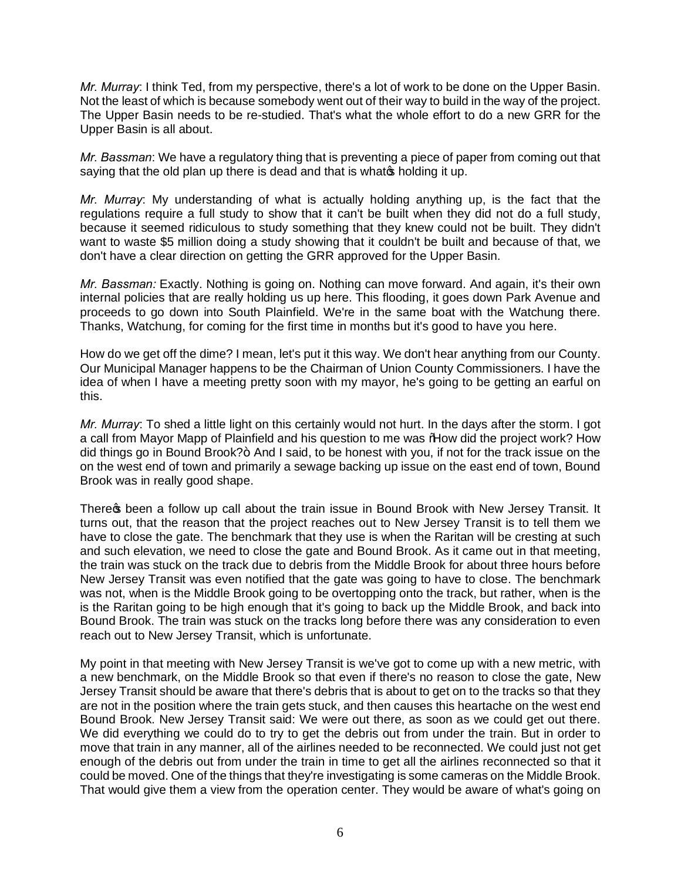*Mr. Murray*: I think Ted, from my perspective, there's a lot of work to be done on the Upper Basin. Not the least of which is because somebody went out of their way to build in the way of the project. The Upper Basin needs to be re-studied. That's what the whole effort to do a new GRR for the Upper Basin is all about.

*Mr. Bassman*: We have a regulatory thing that is preventing a piece of paper from coming out that saying that the old plan up there is dead and that is whate holding it up.

*Mr. Murray*: My understanding of what is actually holding anything up, is the fact that the regulations require a full study to show that it can't be built when they did not do a full study, because it seemed ridiculous to study something that they knew could not be built. They didn't want to waste \$5 million doing a study showing that it couldn't be built and because of that, we don't have a clear direction on getting the GRR approved for the Upper Basin.

*Mr. Bassman:* Exactly. Nothing is going on. Nothing can move forward. And again, it's their own internal policies that are really holding us up here. This flooding, it goes down Park Avenue and proceeds to go down into South Plainfield. We're in the same boat with the Watchung there. Thanks, Watchung, for coming for the first time in months but it's good to have you here.

How do we get off the dime? I mean, let's put it this way. We don't hear anything from our County. Our Municipal Manager happens to be the Chairman of Union County Commissioners. I have the idea of when I have a meeting pretty soon with my mayor, he's going to be getting an earful on this.

*Mr. Murray*: To shed a little light on this certainly would not hurt. In the days after the storm. I got a call from Mayor Mapp of Plainfield and his question to me was % dow did the project work? How did things go in Bound Brook?+ And I said, to be honest with you, if not for the track issue on the on the west end of town and primarily a sewage backing up issue on the east end of town, Bound Brook was in really good shape.

There the been a follow up call about the train issue in Bound Brook with New Jersey Transit. It turns out, that the reason that the project reaches out to New Jersey Transit is to tell them we have to close the gate. The benchmark that they use is when the Raritan will be cresting at such and such elevation, we need to close the gate and Bound Brook. As it came out in that meeting, the train was stuck on the track due to debris from the Middle Brook for about three hours before New Jersey Transit was even notified that the gate was going to have to close. The benchmark was not, when is the Middle Brook going to be overtopping onto the track, but rather, when is the is the Raritan going to be high enough that it's going to back up the Middle Brook, and back into Bound Brook. The train was stuck on the tracks long before there was any consideration to even reach out to New Jersey Transit, which is unfortunate.

My point in that meeting with New Jersey Transit is we've got to come up with a new metric, with a new benchmark, on the Middle Brook so that even if there's no reason to close the gate, New Jersey Transit should be aware that there's debris that is about to get on to the tracks so that they are not in the position where the train gets stuck, and then causes this heartache on the west end Bound Brook. New Jersey Transit said: We were out there, as soon as we could get out there. We did everything we could do to try to get the debris out from under the train. But in order to move that train in any manner, all of the airlines needed to be reconnected. We could just not get enough of the debris out from under the train in time to get all the airlines reconnected so that it could be moved. One of the things that they're investigating is some cameras on the Middle Brook. That would give them a view from the operation center. They would be aware of what's going on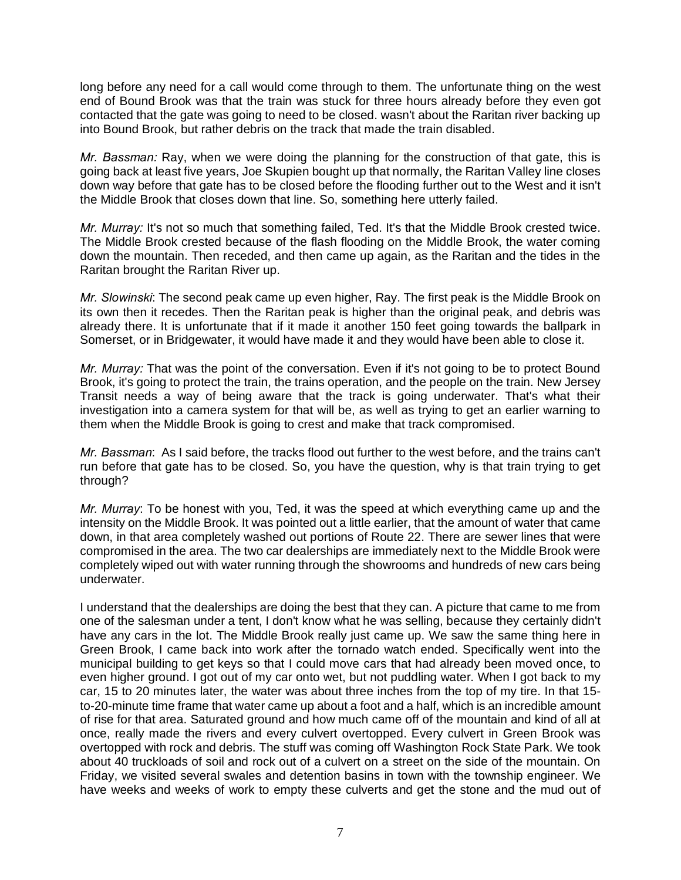long before any need for a call would come through to them. The unfortunate thing on the west end of Bound Brook was that the train was stuck for three hours already before they even got contacted that the gate was going to need to be closed. wasn't about the Raritan river backing up into Bound Brook, but rather debris on the track that made the train disabled.

*Mr. Bassman:* Ray, when we were doing the planning for the construction of that gate, this is going back at least five years, Joe Skupien bought up that normally, the Raritan Valley line closes down way before that gate has to be closed before the flooding further out to the West and it isn't the Middle Brook that closes down that line. So, something here utterly failed.

*Mr. Murray:* It's not so much that something failed, Ted. It's that the Middle Brook crested twice. The Middle Brook crested because of the flash flooding on the Middle Brook, the water coming down the mountain. Then receded, and then came up again, as the Raritan and the tides in the Raritan brought the Raritan River up.

*Mr. Slowinski*: The second peak came up even higher, Ray. The first peak is the Middle Brook on its own then it recedes. Then the Raritan peak is higher than the original peak, and debris was already there. It is unfortunate that if it made it another 150 feet going towards the ballpark in Somerset, or in Bridgewater, it would have made it and they would have been able to close it.

*Mr. Murray:* That was the point of the conversation. Even if it's not going to be to protect Bound Brook, it's going to protect the train, the trains operation, and the people on the train. New Jersey Transit needs a way of being aware that the track is going underwater. That's what their investigation into a camera system for that will be, as well as trying to get an earlier warning to them when the Middle Brook is going to crest and make that track compromised.

*Mr. Bassman*: As I said before, the tracks flood out further to the west before, and the trains can't run before that gate has to be closed. So, you have the question, why is that train trying to get through?

*Mr. Murray*: To be honest with you, Ted, it was the speed at which everything came up and the intensity on the Middle Brook. It was pointed out a little earlier, that the amount of water that came down, in that area completely washed out portions of Route 22. There are sewer lines that were compromised in the area. The two car dealerships are immediately next to the Middle Brook were completely wiped out with water running through the showrooms and hundreds of new cars being underwater.

I understand that the dealerships are doing the best that they can. A picture that came to me from one of the salesman under a tent, I don't know what he was selling, because they certainly didn't have any cars in the lot. The Middle Brook really just came up. We saw the same thing here in Green Brook, I came back into work after the tornado watch ended. Specifically went into the municipal building to get keys so that I could move cars that had already been moved once, to even higher ground. I got out of my car onto wet, but not puddling water. When I got back to my car, 15 to 20 minutes later, the water was about three inches from the top of my tire. In that 15 to-20-minute time frame that water came up about a foot and a half, which is an incredible amount of rise for that area. Saturated ground and how much came off of the mountain and kind of all at once, really made the rivers and every culvert overtopped. Every culvert in Green Brook was overtopped with rock and debris. The stuff was coming off Washington Rock State Park. We took about 40 truckloads of soil and rock out of a culvert on a street on the side of the mountain. On Friday, we visited several swales and detention basins in town with the township engineer. We have weeks and weeks of work to empty these culverts and get the stone and the mud out of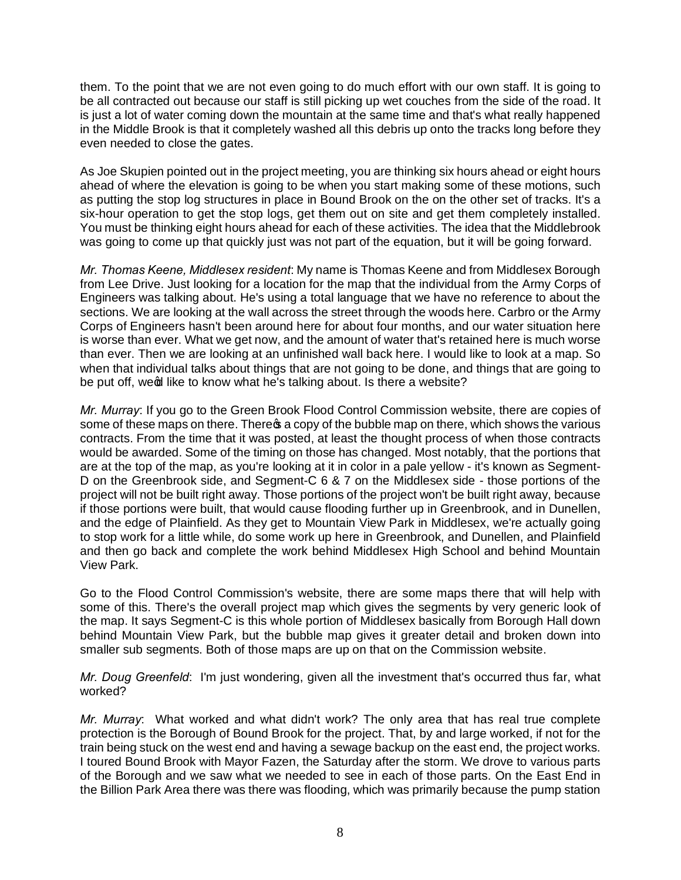them. To the point that we are not even going to do much effort with our own staff. It is going to be all contracted out because our staff is still picking up wet couches from the side of the road. It is just a lot of water coming down the mountain at the same time and that's what really happened in the Middle Brook is that it completely washed all this debris up onto the tracks long before they even needed to close the gates.

As Joe Skupien pointed out in the project meeting, you are thinking six hours ahead or eight hours ahead of where the elevation is going to be when you start making some of these motions, such as putting the stop log structures in place in Bound Brook on the on the other set of tracks. It's a six-hour operation to get the stop logs, get them out on site and get them completely installed. You must be thinking eight hours ahead for each of these activities. The idea that the Middlebrook was going to come up that quickly just was not part of the equation, but it will be going forward.

*Mr. Thomas Keene, Middlesex resident*: My name is Thomas Keene and from Middlesex Borough from Lee Drive. Just looking for a location for the map that the individual from the Army Corps of Engineers was talking about. He's using a total language that we have no reference to about the sections. We are looking at the wall across the street through the woods here. Carbro or the Army Corps of Engineers hasn't been around here for about four months, and our water situation here is worse than ever. What we get now, and the amount of water that's retained here is much worse than ever. Then we are looking at an unfinished wall back here. I would like to look at a map. So when that individual talks about things that are not going to be done, and things that are going to be put off, ween like to know what he's talking about. Is there a website?

*Mr. Murray*: If you go to the Green Brook Flood Control Commission website, there are copies of some of these maps on there. There **s** a copy of the bubble map on there, which shows the various contracts. From the time that it was posted, at least the thought process of when those contracts would be awarded. Some of the timing on those has changed. Most notably, that the portions that are at the top of the map, as you're looking at it in color in a pale yellow - it's known as Segment-D on the Greenbrook side, and Segment-C 6 & 7 on the Middlesex side - those portions of the project will not be built right away. Those portions of the project won't be built right away, because if those portions were built, that would cause flooding further up in Greenbrook, and in Dunellen, and the edge of Plainfield. As they get to Mountain View Park in Middlesex, we're actually going to stop work for a little while, do some work up here in Greenbrook, and Dunellen, and Plainfield and then go back and complete the work behind Middlesex High School and behind Mountain View Park.

Go to the Flood Control Commission's website, there are some maps there that will help with some of this. There's the overall project map which gives the segments by very generic look of the map. It says Segment-C is this whole portion of Middlesex basically from Borough Hall down behind Mountain View Park, but the bubble map gives it greater detail and broken down into smaller sub segments. Both of those maps are up on that on the Commission website.

*Mr. Doug Greenfeld*: I'm just wondering, given all the investment that's occurred thus far, what worked?

*Mr. Murray*: What worked and what didn't work? The only area that has real true complete protection is the Borough of Bound Brook for the project. That, by and large worked, if not for the train being stuck on the west end and having a sewage backup on the east end, the project works. I toured Bound Brook with Mayor Fazen, the Saturday after the storm. We drove to various parts of the Borough and we saw what we needed to see in each of those parts. On the East End in the Billion Park Area there was there was flooding, which was primarily because the pump station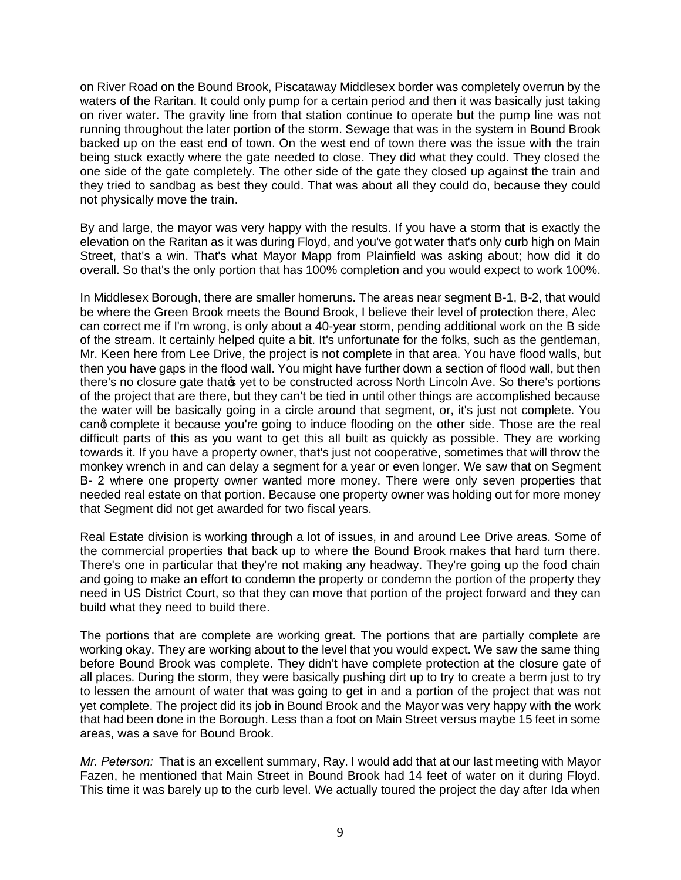on River Road on the Bound Brook, Piscataway Middlesex border was completely overrun by the waters of the Raritan. It could only pump for a certain period and then it was basically just taking on river water. The gravity line from that station continue to operate but the pump line was not running throughout the later portion of the storm. Sewage that was in the system in Bound Brook backed up on the east end of town. On the west end of town there was the issue with the train being stuck exactly where the gate needed to close. They did what they could. They closed the one side of the gate completely. The other side of the gate they closed up against the train and they tried to sandbag as best they could. That was about all they could do, because they could not physically move the train.

By and large, the mayor was very happy with the results. If you have a storm that is exactly the elevation on the Raritan as it was during Floyd, and you've got water that's only curb high on Main Street, that's a win. That's what Mayor Mapp from Plainfield was asking about; how did it do overall. So that's the only portion that has 100% completion and you would expect to work 100%.

In Middlesex Borough, there are smaller homeruns. The areas near segment B-1, B-2, that would be where the Green Brook meets the Bound Brook, I believe their level of protection there, Alec can correct me if I'm wrong, is only about a 40-year storm, pending additional work on the B side of the stream. It certainly helped quite a bit. It's unfortunate for the folks, such as the gentleman, Mr. Keen here from Lee Drive, the project is not complete in that area. You have flood walls, but then you have gaps in the flood wall. You might have further down a section of flood wall, but then there's no closure gate that of yet to be constructed across North Lincoln Ave. So there's portions of the project that are there, but they can't be tied in until other things are accomplished because the water will be basically going in a circle around that segment, or, it's just not complete. You cand complete it because you're going to induce flooding on the other side. Those are the real difficult parts of this as you want to get this all built as quickly as possible. They are working towards it. If you have a property owner, that's just not cooperative, sometimes that will throw the monkey wrench in and can delay a segment for a year or even longer. We saw that on Segment B- 2 where one property owner wanted more money. There were only seven properties that needed real estate on that portion. Because one property owner was holding out for more money that Segment did not get awarded for two fiscal years.

Real Estate division is working through a lot of issues, in and around Lee Drive areas. Some of the commercial properties that back up to where the Bound Brook makes that hard turn there. There's one in particular that they're not making any headway. They're going up the food chain and going to make an effort to condemn the property or condemn the portion of the property they need in US District Court, so that they can move that portion of the project forward and they can build what they need to build there.

The portions that are complete are working great. The portions that are partially complete are working okay. They are working about to the level that you would expect. We saw the same thing before Bound Brook was complete. They didn't have complete protection at the closure gate of all places. During the storm, they were basically pushing dirt up to try to create a berm just to try to lessen the amount of water that was going to get in and a portion of the project that was not yet complete. The project did its job in Bound Brook and the Mayor was very happy with the work that had been done in the Borough. Less than a foot on Main Street versus maybe 15 feet in some areas, was a save for Bound Brook.

*Mr. Peterson:* That is an excellent summary, Ray. I would add that at our last meeting with Mayor Fazen, he mentioned that Main Street in Bound Brook had 14 feet of water on it during Floyd. This time it was barely up to the curb level. We actually toured the project the day after Ida when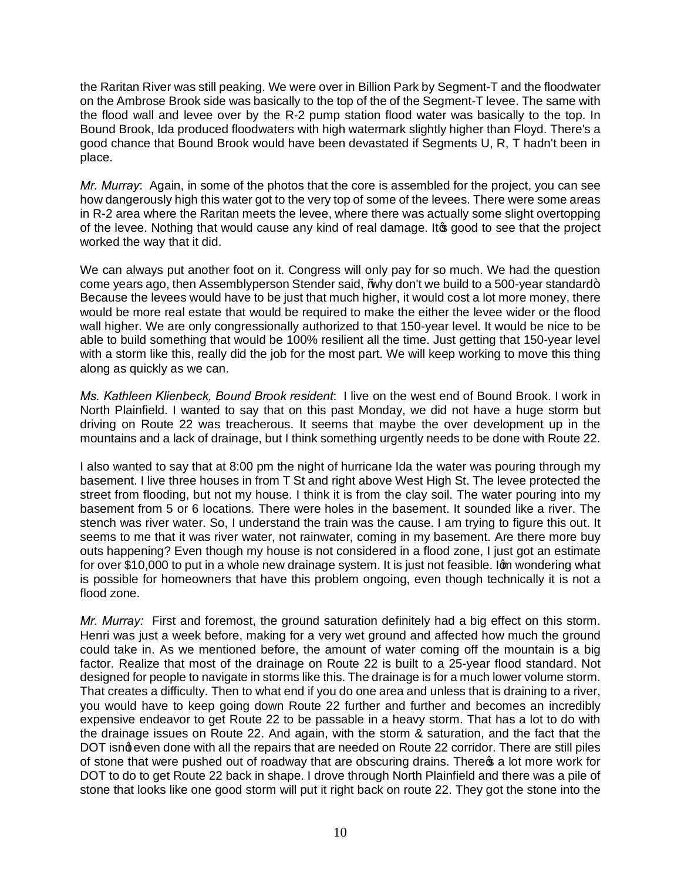the Raritan River was still peaking. We were over in Billion Park by Segment-T and the floodwater on the Ambrose Brook side was basically to the top of the of the Segment-T levee. The same with the flood wall and levee over by the R-2 pump station flood water was basically to the top. In Bound Brook, Ida produced floodwaters with high watermark slightly higher than Floyd. There's a good chance that Bound Brook would have been devastated if Segments U, R, T hadn't been in place.

*Mr. Murray*: Again, in some of the photos that the core is assembled for the project, you can see how dangerously high this water got to the very top of some of the levees. There were some areas in R-2 area where the Raritan meets the levee, where there was actually some slight overtopping of the levee. Nothing that would cause any kind of real damage. It good to see that the project worked the way that it did.

We can always put another foot on it. Congress will only pay for so much. We had the question come years ago, then Assemblyperson Stender said,  $%$ why don't we build to a 500-year standard+ Because the levees would have to be just that much higher, it would cost a lot more money, there would be more real estate that would be required to make the either the levee wider or the flood wall higher. We are only congressionally authorized to that 150-year level. It would be nice to be able to build something that would be 100% resilient all the time. Just getting that 150-year level with a storm like this, really did the job for the most part. We will keep working to move this thing along as quickly as we can.

*Ms. Kathleen Klienbeck, Bound Brook resident*: I live on the west end of Bound Brook. I work in North Plainfield. I wanted to say that on this past Monday, we did not have a huge storm but driving on Route 22 was treacherous. It seems that maybe the over development up in the mountains and a lack of drainage, but I think something urgently needs to be done with Route 22.

I also wanted to say that at 8:00 pm the night of hurricane Ida the water was pouring through my basement. I live three houses in from T St and right above West High St. The levee protected the street from flooding, but not my house. I think it is from the clay soil. The water pouring into my basement from 5 or 6 locations. There were holes in the basement. It sounded like a river. The stench was river water. So, I understand the train was the cause. I am trying to figure this out. It seems to me that it was river water, not rainwater, coming in my basement. Are there more buy outs happening? Even though my house is not considered in a flood zone, I just got an estimate for over \$10,000 to put in a whole new drainage system. It is just not feasible. Iom wondering what is possible for homeowners that have this problem ongoing, even though technically it is not a flood zone.

*Mr. Murray:* First and foremost, the ground saturation definitely had a big effect on this storm. Henri was just a week before, making for a very wet ground and affected how much the ground could take in. As we mentioned before, the amount of water coming off the mountain is a big factor. Realize that most of the drainage on Route 22 is built to a 25-year flood standard. Not designed for people to navigate in storms like this. The drainage is for a much lower volume storm. That creates a difficulty. Then to what end if you do one area and unless that is draining to a river, you would have to keep going down Route 22 further and further and becomes an incredibly expensive endeavor to get Route 22 to be passable in a heavy storm. That has a lot to do with the drainage issues on Route 22. And again, with the storm & saturation, and the fact that the DOT isng even done with all the repairs that are needed on Route 22 corridor. There are still piles of stone that were pushed out of roadway that are obscuring drains. There  $\infty$  a lot more work for DOT to do to get Route 22 back in shape. I drove through North Plainfield and there was a pile of stone that looks like one good storm will put it right back on route 22. They got the stone into the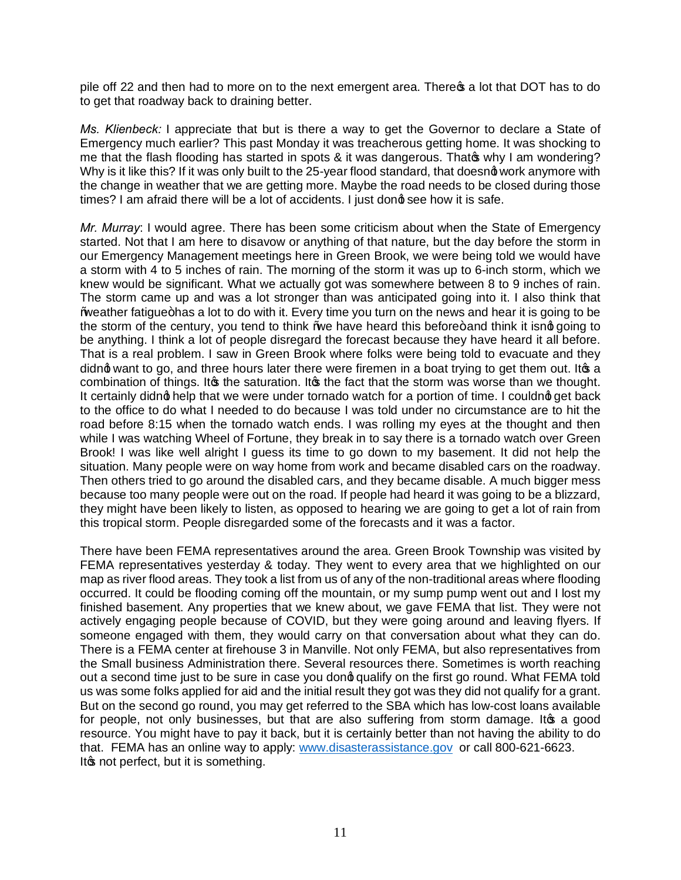pile off 22 and then had to more on to the next emergent area. There **a** a lot that DOT has to do to get that roadway back to draining better.

*Ms. Klienbeck:* I appreciate that but is there a way to get the Governor to declare a State of Emergency much earlier? This past Monday it was treacherous getting home. It was shocking to me that the flash flooding has started in spots & it was dangerous. That why I am wondering? Why is it like this? If it was only built to the 25-year flood standard, that doesnot work anymore with the change in weather that we are getting more. Maybe the road needs to be closed during those times? I am afraid there will be a lot of accidents. I just dond see how it is safe.

*Mr. Murray*: I would agree. There has been some criticism about when the State of Emergency started. Not that I am here to disavow or anything of that nature, but the day before the storm in our Emergency Management meetings here in Green Brook, we were being told we would have a storm with 4 to 5 inches of rain. The morning of the storm it was up to 6-inch storm, which we knew would be significant. What we actually got was somewhere between 8 to 9 inches of rain. The storm came up and was a lot stronger than was anticipated going into it. I also think that Weather fatigue+has a lot to do with it. Every time you turn on the news and hear it is going to be the storm of the century, you tend to think ‰ have heard this before+ and think it isnot going to be anything. I think a lot of people disregard the forecast because they have heard it all before. That is a real problem. I saw in Green Brook where folks were being told to evacuate and they didng want to go, and three hours later there were firemen in a boat trying to get them out. It as a combination of things. It the saturation. It is the fact that the storm was worse than we thought. It certainly didng help that we were under tornado watch for a portion of time. I couldng get back to the office to do what I needed to do because I was told under no circumstance are to hit the road before 8:15 when the tornado watch ends. I was rolling my eyes at the thought and then while I was watching Wheel of Fortune, they break in to say there is a tornado watch over Green Brook! I was like well alright I guess its time to go down to my basement. It did not help the situation. Many people were on way home from work and became disabled cars on the roadway. Then others tried to go around the disabled cars, and they became disable. A much bigger mess because too many people were out on the road. If people had heard it was going to be a blizzard, they might have been likely to listen, as opposed to hearing we are going to get a lot of rain from this tropical storm. People disregarded some of the forecasts and it was a factor.

There have been FEMA representatives around the area. Green Brook Township was visited by FEMA representatives yesterday & today. They went to every area that we highlighted on our map as river flood areas. They took a list from us of any of the non-traditional areas where flooding occurred. It could be flooding coming off the mountain, or my sump pump went out and I lost my finished basement. Any properties that we knew about, we gave FEMA that list. They were not actively engaging people because of COVID, but they were going around and leaving flyers. If someone engaged with them, they would carry on that conversation about what they can do. There is a FEMA center at firehouse 3 in Manville. Not only FEMA, but also representatives from the Small business Administration there. Several resources there. Sometimes is worth reaching out a second time just to be sure in case you dong qualify on the first go round. What FEMA told us was some folks applied for aid and the initial result they got was they did not qualify for a grant. But on the second go round, you may get referred to the SBA which has low-cost loans available for people, not only businesses, but that are also suffering from storm damage. It a good resource. You might have to pay it back, but it is certainly better than not having the ability to do that. FEMA has an online way to apply: www.disasterassistance.gov or call 800-621-6623. It ts not perfect, but it is something.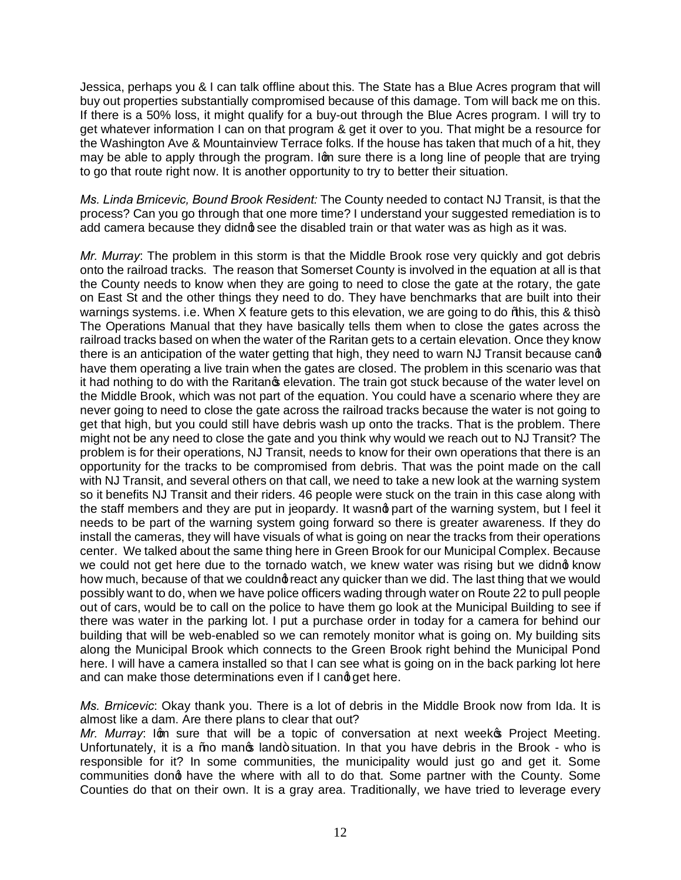Jessica, perhaps you & I can talk offline about this. The State has a Blue Acres program that will buy out properties substantially compromised because of this damage. Tom will back me on this. If there is a 50% loss, it might qualify for a buy-out through the Blue Acres program. I will try to get whatever information I can on that program & get it over to you. That might be a resource for the Washington Ave & Mountainview Terrace folks. If the house has taken that much of a hit, they may be able to apply through the program. Ign sure there is a long line of people that are trying to go that route right now. It is another opportunity to try to better their situation.

*Ms. Linda Brnicevic, Bound Brook Resident:* The County needed to contact NJ Transit, is that the process? Can you go through that one more time? I understand your suggested remediation is to add camera because they didng see the disabled train or that water was as high as it was.

*Mr. Murray*: The problem in this storm is that the Middle Brook rose very quickly and got debris onto the railroad tracks. The reason that Somerset County is involved in the equation at all is that the County needs to know when they are going to need to close the gate at the rotary, the gate on East St and the other things they need to do. They have benchmarks that are built into their warnings systems. i.e. When X feature gets to this elevation, we are going to do % his, this & this+ The Operations Manual that they have basically tells them when to close the gates across the railroad tracks based on when the water of the Raritan gets to a certain elevation. Once they know there is an anticipation of the water getting that high, they need to warn NJ Transit because cand have them operating a live train when the gates are closed. The problem in this scenario was that it had nothing to do with the Raritan pelevation. The train got stuck because of the water level on the Middle Brook, which was not part of the equation. You could have a scenario where they are never going to need to close the gate across the railroad tracks because the water is not going to get that high, but you could still have debris wash up onto the tracks. That is the problem. There might not be any need to close the gate and you think why would we reach out to NJ Transit? The problem is for their operations, NJ Transit, needs to know for their own operations that there is an opportunity for the tracks to be compromised from debris. That was the point made on the call with NJ Transit, and several others on that call, we need to take a new look at the warning system so it benefits NJ Transit and their riders. 46 people were stuck on the train in this case along with the staff members and they are put in jeopardy. It wasnot part of the warning system, but I feel it needs to be part of the warning system going forward so there is greater awareness. If they do install the cameras, they will have visuals of what is going on near the tracks from their operations center. We talked about the same thing here in Green Brook for our Municipal Complex. Because we could not get here due to the tornado watch, we knew water was rising but we didnot know how much, because of that we couldnot react any quicker than we did. The last thing that we would possibly want to do, when we have police officers wading through water on Route 22 to pull people out of cars, would be to call on the police to have them go look at the Municipal Building to see if there was water in the parking lot. I put a purchase order in today for a camera for behind our building that will be web-enabled so we can remotely monitor what is going on. My building sits along the Municipal Brook which connects to the Green Brook right behind the Municipal Pond here. I will have a camera installed so that I can see what is going on in the back parking lot here and can make those determinations even if I cand get here.

*Ms. Brnicevic*: Okay thank you. There is a lot of debris in the Middle Brook now from Ida. It is almost like a dam. Are there plans to clear that out?

*Mr. Murray*: Ign sure that will be a topic of conversation at next weeks Project Meeting. Unfortunately, it is a ‰ manos land+ situation. In that you have debris in the Brook - who is responsible for it? In some communities, the municipality would just go and get it. Some communities dong have the where with all to do that. Some partner with the County. Some Counties do that on their own. It is a gray area. Traditionally, we have tried to leverage every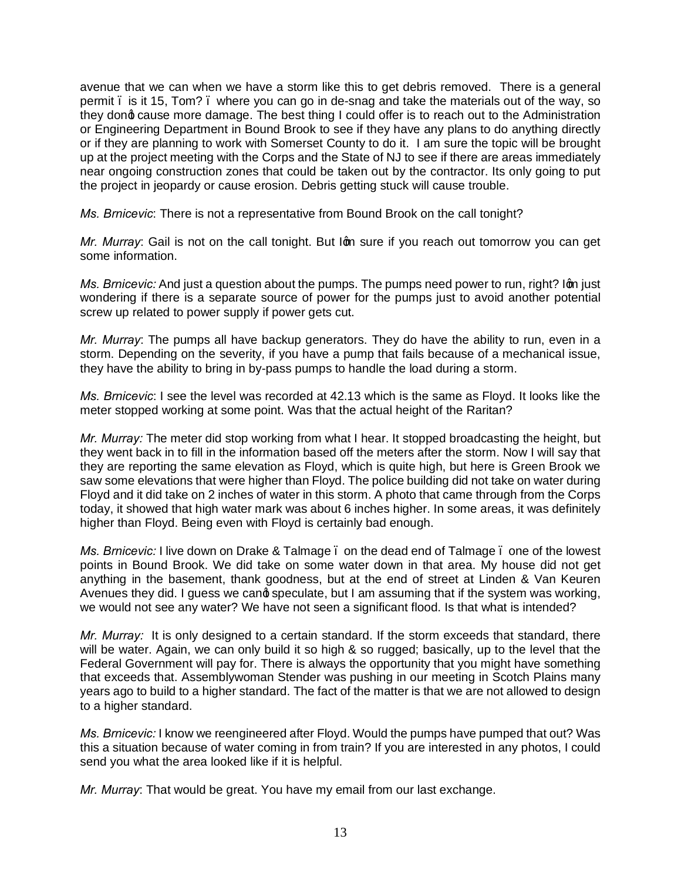avenue that we can when we have a storm like this to get debris removed. There is a general permit – is it 15, Tom? – where you can go in de-snag and take the materials out of the way, so they dond cause more damage. The best thing I could offer is to reach out to the Administration or Engineering Department in Bound Brook to see if they have any plans to do anything directly or if they are planning to work with Somerset County to do it. I am sure the topic will be brought up at the project meeting with the Corps and the State of NJ to see if there are areas immediately near ongoing construction zones that could be taken out by the contractor. Its only going to put the project in jeopardy or cause erosion. Debris getting stuck will cause trouble.

*Ms. Brnicevic*: There is not a representative from Bound Brook on the call tonight?

*Mr. Murray*: Gail is not on the call tonight. But Ign sure if you reach out tomorrow you can get some information.

*Ms. Brnicevic:* And just a question about the pumps. The pumps need power to run, right? Iom just wondering if there is a separate source of power for the pumps just to avoid another potential screw up related to power supply if power gets cut.

*Mr. Murray*: The pumps all have backup generators. They do have the ability to run, even in a storm. Depending on the severity, if you have a pump that fails because of a mechanical issue, they have the ability to bring in by-pass pumps to handle the load during a storm.

*Ms. Brnicevic*: I see the level was recorded at 42.13 which is the same as Floyd. It looks like the meter stopped working at some point. Was that the actual height of the Raritan?

*Mr. Murray:* The meter did stop working from what I hear. It stopped broadcasting the height, but they went back in to fill in the information based off the meters after the storm. Now I will say that they are reporting the same elevation as Floyd, which is quite high, but here is Green Brook we saw some elevations that were higher than Floyd. The police building did not take on water during Floyd and it did take on 2 inches of water in this storm. A photo that came through from the Corps today, it showed that high water mark was about 6 inches higher. In some areas, it was definitely higher than Floyd. Being even with Floyd is certainly bad enough.

*Ms. Brnicevic:* I live down on Drake & Talmage . on the dead end of Talmage . one of the lowest points in Bound Brook. We did take on some water down in that area. My house did not get anything in the basement, thank goodness, but at the end of street at Linden & Van Keuren Avenues they did. I guess we cand speculate, but I am assuming that if the system was working, we would not see any water? We have not seen a significant flood. Is that what is intended?

*Mr. Murray:* It is only designed to a certain standard. If the storm exceeds that standard, there will be water. Again, we can only build it so high & so rugged; basically, up to the level that the Federal Government will pay for. There is always the opportunity that you might have something that exceeds that. Assemblywoman Stender was pushing in our meeting in Scotch Plains many years ago to build to a higher standard. The fact of the matter is that we are not allowed to design to a higher standard.

*Ms. Brnicevic:* I know we reengineered after Floyd. Would the pumps have pumped that out? Was this a situation because of water coming in from train? If you are interested in any photos, I could send you what the area looked like if it is helpful.

*Mr. Murray*: That would be great. You have my email from our last exchange.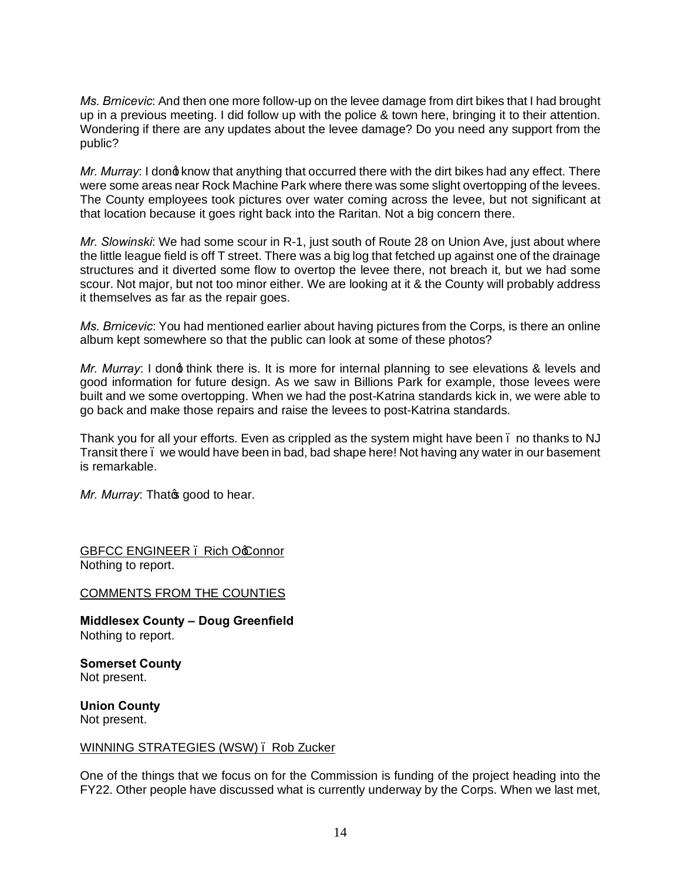*Ms. Brnicevic*: And then one more follow-up on the levee damage from dirt bikes that I had brought up in a previous meeting. I did follow up with the police & town here, bringing it to their attention. Wondering if there are any updates about the levee damage? Do you need any support from the public?

*Mr. Murray*: I dong know that anything that occurred there with the dirt bikes had any effect. There were some areas near Rock Machine Park where there was some slight overtopping of the levees. The County employees took pictures over water coming across the levee, but not significant at that location because it goes right back into the Raritan. Not a big concern there.

*Mr. Slowinski*: We had some scour in R-1, just south of Route 28 on Union Ave, just about where the little league field is off T street. There was a big log that fetched up against one of the drainage structures and it diverted some flow to overtop the levee there, not breach it, but we had some scour. Not major, but not too minor either. We are looking at it & the County will probably address it themselves as far as the repair goes.

*Ms. Brnicevic*: You had mentioned earlier about having pictures from the Corps, is there an online album kept somewhere so that the public can look at some of these photos?

*Mr. Murray*: I dong think there is. It is more for internal planning to see elevations & levels and good information for future design. As we saw in Billions Park for example, those levees were built and we some overtopping. When we had the post-Katrina standards kick in, we were able to go back and make those repairs and raise the levees to post-Katrina standards.

Thank you for all your efforts. Even as crippled as the system might have been . no thanks to NJ Transit there – we would have been in bad, bad shape here! Not having any water in our basement is remarkable.

*Mr. Murray: Thato good to hear.* 

GBFCC ENGINEER. Rich Occonnor Nothing to report.

## COMMENTS FROM THE COUNTIES

**Middlesex County – Doug Greenfield** Nothing to report.

**Somerset County** Not present.

**Union County** Not present.

## WINNING STRATEGIES (WSW) – Rob Zucker

One of the things that we focus on for the Commission is funding of the project heading into the FY22. Other people have discussed what is currently underway by the Corps. When we last met,